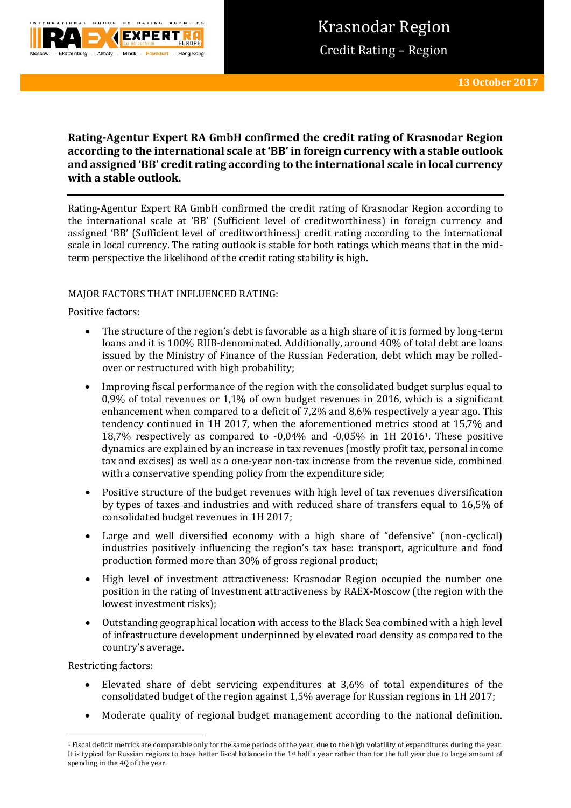

# **Rating-Agentur Expert RA GmbH confirmed the credit rating of Krasnodar Region according to the international scale at 'BB' in foreign currency with a stable outlook and assigned 'BB' credit rating according to the international scale in local currency with a stable outlook.**

Rating-Agentur Expert RA GmbH confirmed the credit rating of Krasnodar Region according to the international scale at 'BB' (Sufficient level of creditworthiness) in foreign currency and assigned 'BB' (Sufficient level of creditworthiness) credit rating according to the international scale in local currency. The rating outlook is stable for both ratings which means that in the midterm perspective the likelihood of the credit rating stability is high.

## MAJOR FACTORS THAT INFLUENCED RATING:

## Positive factors:

- The structure of the region's debt is favorable as a high share of it is formed by long-term loans and it is 100% RUB-denominated. Additionally, around 40% of total debt are loans issued by the Ministry of Finance of the Russian Federation, debt which may be rolledover or restructured with high probability;
- Improving fiscal performance of the region with the consolidated budget surplus equal to 0,9% of total revenues or 1,1% of own budget revenues in 2016, which is a significant enhancement when compared to a deficit of 7,2% and 8,6% respectively a year ago. This tendency continued in 1H 2017, when the aforementioned metrics stood at 15,7% and 18,7% respectively as compared to -0,04% and -0,05% in 1H 20161. These positive dynamics are explained by an increase in tax revenues (mostly profit tax, personal income tax and excises) as well as a one-year non-tax increase from the revenue side, combined with a conservative spending policy from the expenditure side;
- Positive structure of the budget revenues with high level of tax revenues diversification by types of taxes and industries and with reduced share of transfers equal to 16,5% of consolidated budget revenues in 1H 2017;
- Large and well diversified economy with a high share of "defensive" (non-cyclical) industries positively influencing the region's tax base: transport, agriculture and food production formed more than 30% of gross regional product;
- High level of investment attractiveness: Krasnodar Region occupied the number one position in the rating of Investment attractiveness by RAEX-Moscow (the region with the lowest investment risks);
- Outstanding geographical location with access to the Black Sea combined with a high level of infrastructure development underpinned by elevated road density as compared to the country's average.

Restricting factors:

**.** 

- Elevated share of debt servicing expenditures at 3,6% of total expenditures of the consolidated budget of the region against 1,5% average for Russian regions in 1H 2017;
- Moderate quality of regional budget management according to the national definition.

<sup>1</sup> Fiscal deficit metrics are comparable only for the same periods of the year, due to the high volatility of expenditures during the year. It is typical for Russian regions to have better fiscal balance in the 1<sup>st</sup> half a year rather than for the full year due to large amount of spending in the 4Q of the year.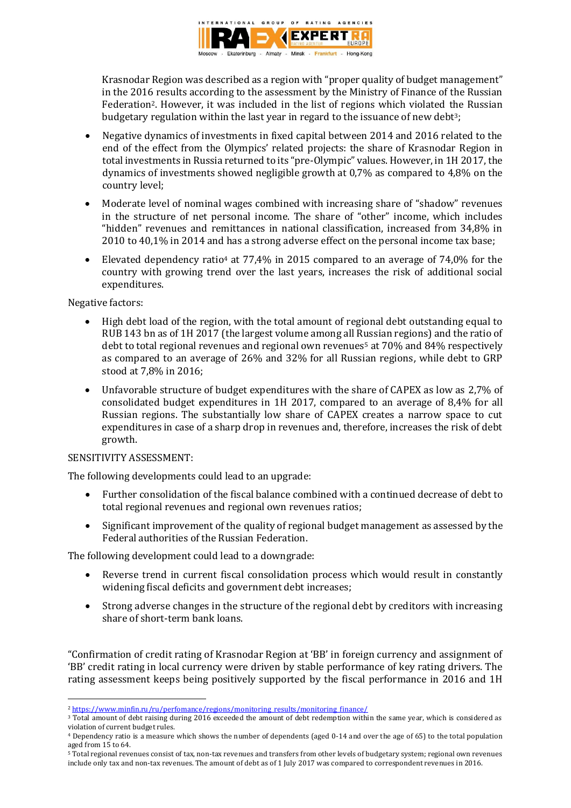

Krasnodar Region was described as a region with "proper quality of budget management" in the 2016 results according to the assessment by the Ministry of Finance of the Russian Federation2. However, it was included in the list of regions which violated the Russian budgetary regulation within the last year in regard to the issuance of new debt<sup>3</sup>;

- Negative dynamics of investments in fixed capital between 2014 and 2016 related to the end of the effect from the Olympics' related projects: the share of Krasnodar Region in total investments in Russia returned to its "pre-Olympic" values. However, in 1H 2017, the dynamics of investments showed negligible growth at 0,7% as compared to 4,8% on the country level;
- Moderate level of nominal wages combined with increasing share of "shadow" revenues in the structure of net personal income. The share of "other" income, which includes "hidden" revenues and remittances in national classification, increased from 34,8% in 2010 to 40,1% in 2014 and has a strong adverse effect on the personal income tax base;
- Elevated dependency ratio<sup>4</sup> at 77,4% in 2015 compared to an average of 74,0% for the country with growing trend over the last years, increases the risk of additional social expenditures.

### Negative factors:

- High debt load of the region, with the total amount of regional debt outstanding equal to RUB 143 bn as of 1H 2017 (the largest volume among all Russian regions) and the ratio of debt to total regional revenues and regional own revenues<sup>5</sup> at  $70\%$  and  $84\%$  respectively as compared to an average of 26% and 32% for all Russian regions, while debt to GRP stood at 7,8% in 2016;
- Unfavorable structure of budget expenditures with the share of CAPEX as low as 2,7% of consolidated budget expenditures in 1H 2017, compared to an average of 8,4% for all Russian regions. The substantially low share of CAPEX creates a narrow space to cut expenditures in case of a sharp drop in revenues and, therefore, increases the risk of debt growth.

### SENSITIVITY ASSESSMENT:

The following developments could lead to an upgrade:

- Further consolidation of the fiscal balance combined with a continued decrease of debt to total regional revenues and regional own revenues ratios;
- Significant improvement of the quality of regional budget management as assessed by the Federal authorities of the Russian Federation.

The following development could lead to a downgrade:

- Reverse trend in current fiscal consolidation process which would result in constantly widening fiscal deficits and government debt increases;
- Strong adverse changes in the structure of the regional debt by creditors with increasing share of short-term bank loans.

"Confirmation of credit rating of Krasnodar Region at 'BB' in foreign currency and assignment of 'BB' credit rating in local currency were driven by stable performance of key rating drivers. The rating assessment keeps being positively supported by the fiscal performance in 2016 and 1H

<sup>3</sup> Total amount of debt raising during 2016 exceeded the amount of debt redemption within the same year, which is considered as violation of current budget rules.

<sup>5</sup> Total regional revenues consist of tax, non-tax revenues and transfers from other levels of budgetary system; regional own revenues include only tax and non-tax revenues. The amount of debt as of 1 July 2017 was compared to correspondent revenues in 2016.

**<sup>.</sup>** <sup>2</sup> https://www.minfin.ru/ru/perfomance/regions/monitoring results/monitoring finance/

<sup>4</sup> Dependency ratio is a measure which shows the number of dependents (aged 0-14 and over the age of 65) to the total population aged from 15 to 64.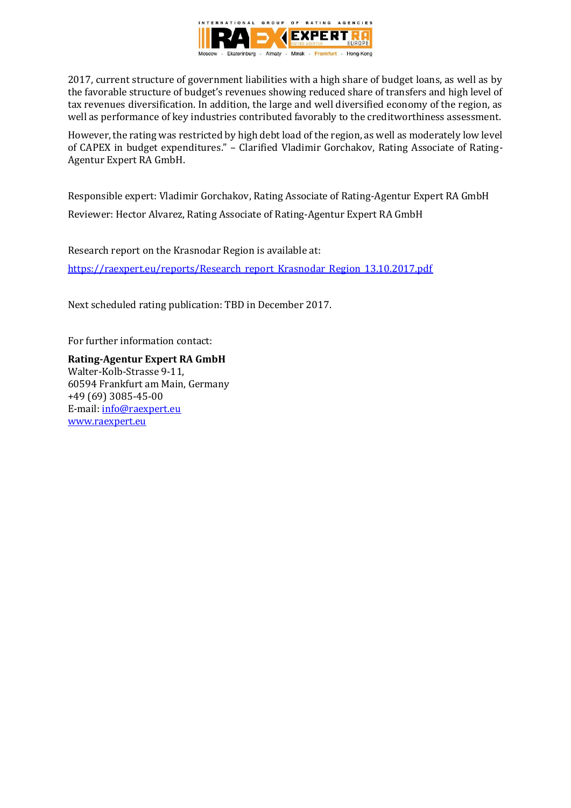

2017, current structure of government liabilities with a high share of budget loans, as well as by the favorable structure of budget's revenues showing reduced share of transfers and high level of tax revenues diversification. In addition, the large and well diversified economy of the region, as well as performance of key industries contributed favorably to the creditworthiness assessment.

However, the rating was restricted by high debt load of the region, as well as moderately low level of CAPEX in budget expenditures." – Clarified Vladimir Gorchakov, Rating Associate of Rating-Agentur Expert RA GmbH.

Responsible expert: Vladimir Gorchakov, Rating Associate of Rating-Agentur Expert RA GmbH Reviewer: Hector Alvarez, Rating Associate of Rating-Agentur Expert RA GmbH

Research report on the Krasnodar Region is available at: [https://raexpert.eu/reports/Research\\_report\\_Krasnodar\\_Region\\_13.10.2017.pdf](https://raexpert.eu/reports/Research_report_Krasnodar_Region_13.10.2017.pdf)

Next scheduled rating publication: TBD in December 2017.

For further information contact:

**Rating-Agentur Expert RA GmbH** Walter-Kolb-Strasse 9-11, 60594 Frankfurt am Main, Germany +49 (69) 3085-45-00 E-mail: [info@raexpert.eu](mailto:info@raexpert.eu) [www.raexpert.eu](http://raexpert.eu/)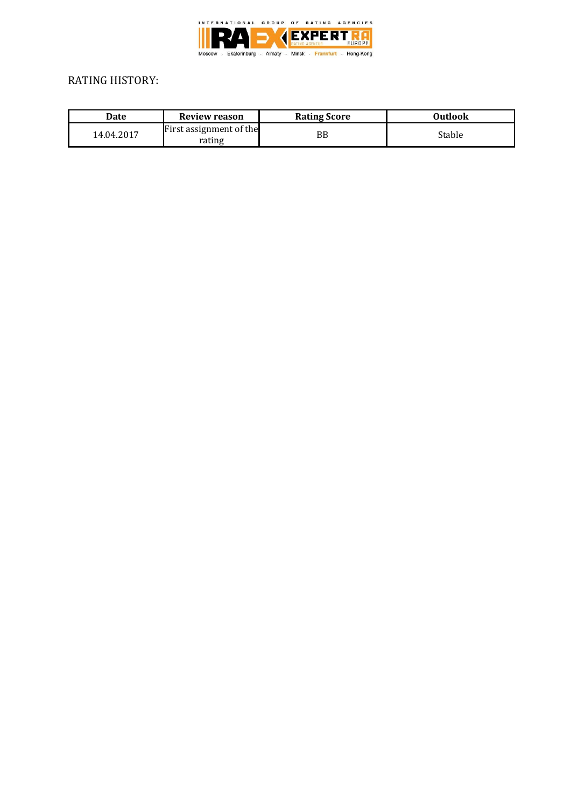

# RATING HISTORY:

| Date       | Review reason                     | <b>Rating Score</b> | Outlook |
|------------|-----------------------------------|---------------------|---------|
| 14.04.2017 | First assignment of the<br>rating | ΒB                  | Stable  |